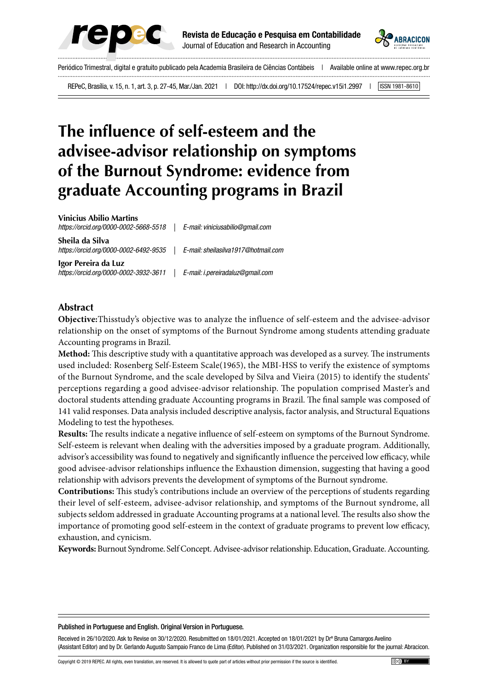



Periódico Trimestral, digital e gratuito publicado pela Academia Brasileira de Ciências Contábeis | Available online at www.repec.org.br REPeC, Brasília, v. 15, n. 1, art. 3, p. 27-45, Mar./Jan. 2021 | DOI: http://dx.doi.org/10.17524/repec.v15i1.2997 | [ISSN 1981-8610]

# **The influence of self-esteem and the advisee-advisor relationship on symptoms of the Burnout Syndrome: evidence from graduate Accounting programs in Brazil**

**Vinicius Abilio Martins**

*https://orcid.org/0000-0002-5668-5518 | E-mail: viniciusabilio@gmail.com*

**Sheila da Silva** *https://orcid.org/0000-0002-6492-9535 | E-mail: sheilasilva1917@hotmail.com*

**Igor Pereira da Luz** *https://orcid.org/0000-0002-3932-3611 | E-mail: i.pereiradaluz@gmail.com*

## **Abstract**

**Objective:**Thisstudy's objective was to analyze the influence of self-esteem and the advisee-advisor relationship on the onset of symptoms of the Burnout Syndrome among students attending graduate Accounting programs in Brazil.

**Method:** This descriptive study with a quantitative approach was developed as a survey. The instruments used included: Rosenberg Self-Esteem Scale(1965), the MBI-HSS to verify the existence of symptoms of the Burnout Syndrome, and the scale developed by Silva and Vieira (2015) to identify the students' perceptions regarding a good advisee-advisor relationship. The population comprised Master's and doctoral students attending graduate Accounting programs in Brazil. The final sample was composed of 141 valid responses. Data analysis included descriptive analysis, factor analysis, and Structural Equations Modeling to test the hypotheses.

**Results:** The results indicate a negative influence of self-esteem on symptoms of the Burnout Syndrome. Self-esteem is relevant when dealing with the adversities imposed by a graduate program. Additionally, advisor's accessibility was found to negatively and significantly influence the perceived low efficacy, while good advisee-advisor relationships influence the Exhaustion dimension, suggesting that having a good relationship with advisors prevents the development of symptoms of the Burnout syndrome.

**Contributions:** This study's contributions include an overview of the perceptions of students regarding their level of self-esteem, advisee-advisor relationship, and symptoms of the Burnout syndrome, all subjects seldom addressed in graduate Accounting programs at a national level. The results also show the importance of promoting good self-esteem in the context of graduate programs to prevent low efficacy, exhaustion, and cynicism.

**Keywords:** Burnout Syndrome. Self Concept. Advisee-advisor relationship. Education, Graduate. Accounting.

#### Published in Portuguese and English. Original Version in Portuguese.

Received in 26/10/2020. Ask to Revise on 30/12/2020. Resubmitted on 18/01/2021. Accepted on 18/01/2021 by Drª Bruna Camargos Avelino (Assistant Editor) and by Dr. Gerlando Augusto Sampaio Franco de Lima (Editor). Published on 31/03/2021. Organization responsible for the journal: Abracicon.

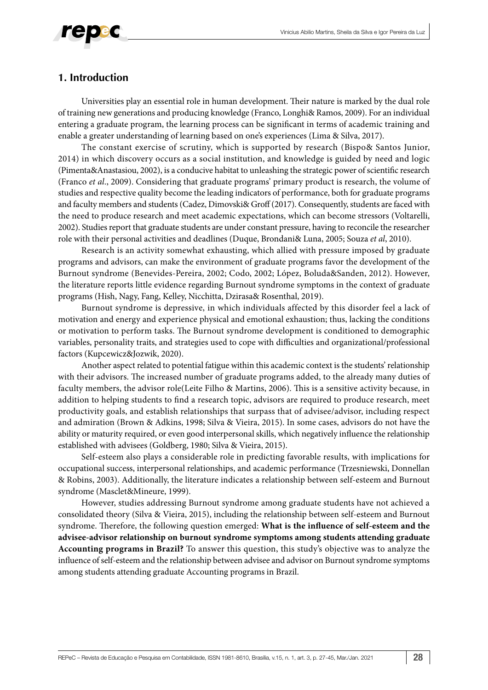

## **1. Introduction**

Universities play an essential role in human development. Their nature is marked by the dual role of training new generations and producing knowledge (Franco, Longhi& Ramos, 2009). For an individual entering a graduate program, the learning process can be significant in terms of academic training and enable a greater understanding of learning based on one's experiences (Lima & Silva, 2017).

The constant exercise of scrutiny, which is supported by research (Bispo& Santos Junior, 2014) in which discovery occurs as a social institution, and knowledge is guided by need and logic (Pimenta&Anastasiou, 2002), is a conducive habitat to unleashing the strategic power of scientific research (Franco *et al*., 2009). Considering that graduate programs' primary product is research, the volume of studies and respective quality become the leading indicators of performance, both for graduate programs and faculty members and students (Cadez, Dimovski& Groff (2017). Consequently, students are faced with the need to produce research and meet academic expectations, which can become stressors (Voltarelli, 2002). Studies report that graduate students are under constant pressure, having to reconcile the researcher role with their personal activities and deadlines (Duque, Brondani& Luna, 2005; Souza *et al*, 2010).

Research is an activity somewhat exhausting, which allied with pressure imposed by graduate programs and advisors, can make the environment of graduate programs favor the development of the Burnout syndrome (Benevides-Pereira, 2002; Codo, 2002; López, Boluda&Sanden, 2012). However, the literature reports little evidence regarding Burnout syndrome symptoms in the context of graduate programs (Hish, Nagy, Fang, Kelley, Nicchitta, Dzirasa& Rosenthal, 2019).

Burnout syndrome is depressive, in which individuals affected by this disorder feel a lack of motivation and energy and experience physical and emotional exhaustion; thus, lacking the conditions or motivation to perform tasks. The Burnout syndrome development is conditioned to demographic variables, personality traits, and strategies used to cope with difficulties and organizational/professional factors (Kupcewicz&Jozwik, 2020).

Another aspect related to potential fatigue within this academic context is the students' relationship with their advisors. The increased number of graduate programs added, to the already many duties of faculty members, the advisor role(Leite Filho & Martins, 2006). This is a sensitive activity because, in addition to helping students to find a research topic, advisors are required to produce research, meet productivity goals, and establish relationships that surpass that of advisee/advisor, including respect and admiration (Brown & Adkins, 1998; Silva & Vieira, 2015). In some cases, advisors do not have the ability or maturity required, or even good interpersonal skills, which negatively influence the relationship established with advisees (Goldberg, 1980; Silva & Vieira, 2015).

Self-esteem also plays a considerable role in predicting favorable results, with implications for occupational success, interpersonal relationships, and academic performance (Trzesniewski, Donnellan & Robins, 2003). Additionally, the literature indicates a relationship between self-esteem and Burnout syndrome (Masclet&Mineure, 1999).

However, studies addressing Burnout syndrome among graduate students have not achieved a consolidated theory (Silva & Vieira, 2015), including the relationship between self-esteem and Burnout syndrome. Therefore, the following question emerged: **What is the influence of self-esteem and the advisee-advisor relationship on burnout syndrome symptoms among students attending graduate Accounting programs in Brazil?** To answer this question, this study's objective was to analyze the influence of self-esteem and the relationship between advisee and advisor on Burnout syndrome symptoms among students attending graduate Accounting programs in Brazil.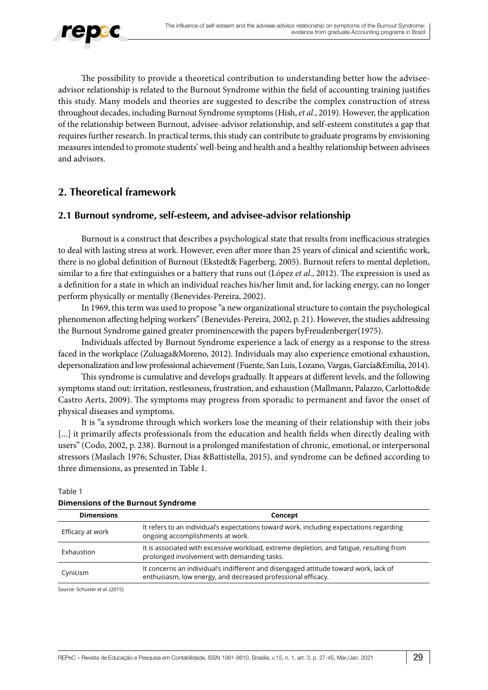

The possibility to provide a theoretical contribution to understanding better how the adviseeadvisor relationship is related to the Burnout Syndrome within the field of accounting training justifies this study. Many models and theories are suggested to describe the complex construction of stress throughout decades, including Burnout Syndrome symptoms (Hish, *et al.*, 2019). However, the application of the relationship between Burnout, advisee-advisor relationship, and self-esteem constitutes a gap that requires further research. In practical terms, this study can contribute to graduate programs by envisioning measures intended to promote students' well-being and health and a healthy relationship between advisees and advisors.

# **2. Theoretical framework**

# **2.1 Burnout syndrome, self-esteem, and advisee-advisor relationship**

Burnout is a construct that describes a psychological state that results from inefficacious strategies to deal with lasting stress at work. However, even after more than 25 years of clinical and scientific work, there is no global definition of Burnout (Ekstedt& Fagerberg, 2005). Burnout refers to mental depletion, similar to a fire that extinguishes or a battery that runs out (López *et al*., 2012). The expression is used as a definition for a state in which an individual reaches his/her limit and, for lacking energy, can no longer perform physically or mentally (Benevides-Pereira, 2002).

In 1969, this term was used to propose "a new organizational structure to contain the psychological phenomenon affecting helping workers" (Benevides-Pereira, 2002, p. 21). However, the studies addressing the Burnout Syndrome gained greater prominencewith the papers byFreudenberger(1975).

Individuals affected by Burnout Syndrome experience a lack of energy as a response to the stress faced in the workplace (Zuluaga&Moreno, 2012). Individuals may also experience emotional exhaustion, depersonalization and low professional achievement (Fuente, San Luis, Lozano, Vargas, García&Emilia, 2014).

This syndrome is cumulative and develops gradually. It appears at different levels, and the following symptoms stand out: irritation, restlessness, frustration, and exhaustion (Mallmann, Palazzo, Carlotto&de Castro Aerts, 2009). The symptoms may progress from sporadic to permanent and favor the onset of physical diseases and symptoms.

It is "a syndrome through which workers lose the meaning of their relationship with their jobs [...] it primarily affects professionals from the education and health fields when directly dealing with users" (Codo, 2002, p. 238). Burnout is a prolonged manifestation of chronic, emotional, or interpersonal stressors (Maslach 1976; Schuster, Dias &Battistella, 2015), and syndrome can be defined according to three dimensions, as presented in Table 1.

| <b>Dimensions</b> | Concept                                                                                                                                              |  |  |  |  |
|-------------------|------------------------------------------------------------------------------------------------------------------------------------------------------|--|--|--|--|
| Efficacy at work  | It refers to an individual's expectations toward work, including expectations regarding<br>ongoing accomplishments at work.                          |  |  |  |  |
| Exhaustion        | It is associated with excessive workload, extreme depletion, and fatigue, resulting from<br>prolonged involvement with demanding tasks.              |  |  |  |  |
| Cynicism          | It concerns an individual's indifferent and disengaged attitude toward work, lack of<br>enthusiasm, low energy, and decreased professional efficacy. |  |  |  |  |

#### Table 1 **Dimensions of the Burnout Syndrome**

Source: Schuster *et al*. (2015)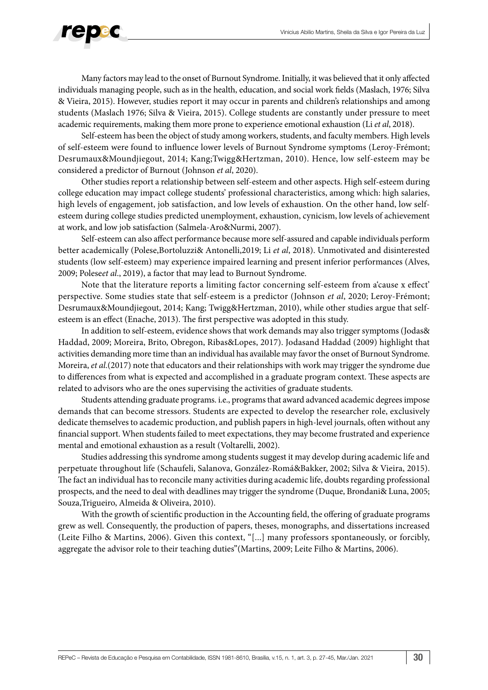

Many factors may lead to the onset of Burnout Syndrome. Initially, it was believed that it only affected individuals managing people, such as in the health, education, and social work fields (Maslach, 1976; Silva & Vieira, 2015). However, studies report it may occur in parents and children's relationships and among students (Maslach 1976; Silva & Vieira, 2015). College students are constantly under pressure to meet academic requirements, making them more prone to experience emotional exhaustion (Li *et al*, 2018).

Self-esteem has been the object of study among workers, students, and faculty members. High levels of self-esteem were found to influence lower levels of Burnout Syndrome symptoms (Leroy-Frémont; Desrumaux&Moundjiegout, 2014; Kang;Twigg&Hertzman, 2010). Hence, low self-esteem may be considered a predictor of Burnout (Johnson *et al*, 2020).

Other studies report a relationship between self-esteem and other aspects. High self-esteem during college education may impact college students' professional characteristics, among which: high salaries, high levels of engagement, job satisfaction, and low levels of exhaustion. On the other hand, low selfesteem during college studies predicted unemployment, exhaustion, cynicism, low levels of achievement at work, and low job satisfaction (Salmela-Aro&Nurmi, 2007).

Self-esteem can also affect performance because more self-assured and capable individuals perform better academically (Polese,Bortoluzzi& Antonelli,2019; Li *et al*, 2018). Unmotivated and disinterested students (low self-esteem) may experience impaired learning and present inferior performances (Alves, 2009; Polese*et al*., 2019), a factor that may lead to Burnout Syndrome.

Note that the literature reports a limiting factor concerning self-esteem from a'cause x effect' perspective. Some studies state that self-esteem is a predictor (Johnson *et al*, 2020; Leroy-Frémont; Desrumaux&Moundjiegout, 2014; Kang; Twigg&Hertzman, 2010), while other studies argue that selfesteem is an effect (Enache, 2013). The first perspective was adopted in this study.

In addition to self-esteem, evidence shows that work demands may also trigger symptoms (Jodas& Haddad, 2009; Moreira, Brito, Obregon, Ribas&Lopes, 2017). Jodasand Haddad (2009) highlight that activities demanding more time than an individual has available may favor the onset of Burnout Syndrome. Moreira, *et al*.(2017) note that educators and their relationships with work may trigger the syndrome due to differences from what is expected and accomplished in a graduate program context. These aspects are related to advisors who are the ones supervising the activities of graduate students.

Students attending graduate programs. i.e., programs that award advanced academic degrees impose demands that can become stressors. Students are expected to develop the researcher role, exclusively dedicate themselves to academic production, and publish papers in high-level journals, often without any financial support. When students failed to meet expectations, they may become frustrated and experience mental and emotional exhaustion as a result (Voltarelli, 2002).

Studies addressing this syndrome among students suggest it may develop during academic life and perpetuate throughout life (Schaufeli, Salanova, González-Romá&Bakker, 2002; Silva & Vieira, 2015). The fact an individual has to reconcile many activities during academic life, doubts regarding professional prospects, and the need to deal with deadlines may trigger the syndrome (Duque, Brondani& Luna, 2005; Souza,Trigueiro, Almeida & Oliveira, 2010).

With the growth of scientific production in the Accounting field, the offering of graduate programs grew as well. Consequently, the production of papers, theses, monographs, and dissertations increased (Leite Filho & Martins, 2006). Given this context, "[...] many professors spontaneously, or forcibly, aggregate the advisor role to their teaching duties"(Martins, 2009; Leite Filho & Martins, 2006).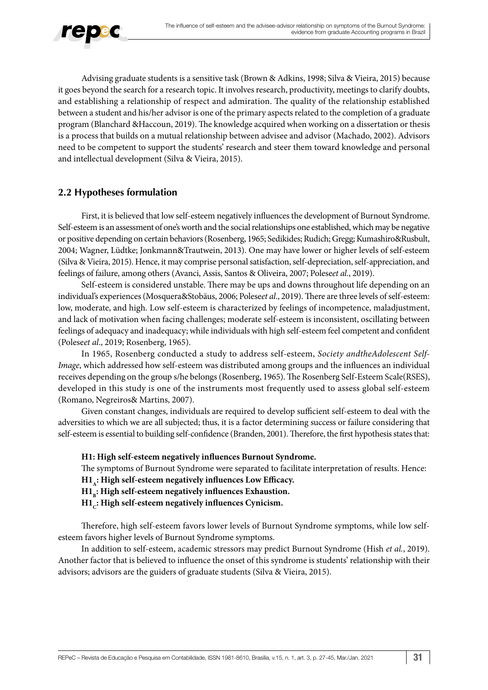

Advising graduate students is a sensitive task (Brown & Adkins, 1998; Silva & Vieira, 2015) because it goes beyond the search for a research topic. It involves research, productivity, meetings to clarify doubts, and establishing a relationship of respect and admiration. The quality of the relationship established between a student and his/her advisor is one of the primary aspects related to the completion of a graduate program (Blanchard &Haccoun, 2019). The knowledge acquired when working on a dissertation or thesis is a process that builds on a mutual relationship between advisee and advisor (Machado, 2002). Advisors need to be competent to support the students' research and steer them toward knowledge and personal and intellectual development (Silva & Vieira, 2015).

# **2.2 Hypotheses formulation**

First, it is believed that low self-esteem negatively influences the development of Burnout Syndrome. Self-esteem is an assessment of one's worth and the social relationships one established, which may be negative or positive depending on certain behaviors (Rosenberg, 1965; Sedikides; Rudich; Gregg; Kumashiro&Rusbult, 2004; Wagner, Lüdtke; Jonkmann&Trautwein, 2013). One may have lower or higher levels of self-esteem (Silva & Vieira, 2015). Hence, it may comprise personal satisfaction, self-depreciation, self-appreciation, and feelings of failure, among others (Avanci, Assis, Santos & Oliveira, 2007; Polese*et al*., 2019).

Self-esteem is considered unstable. There may be ups and downs throughout life depending on an individual's experiences (Mosquera&Stobäus, 2006; Polese*et al*., 2019). There are three levels of self-esteem: low, moderate, and high. Low self-esteem is characterized by feelings of incompetence, maladjustment, and lack of motivation when facing challenges; moderate self-esteem is inconsistent, oscillating between feelings of adequacy and inadequacy; while individuals with high self-esteem feel competent and confident (Polese*et al*., 2019; Rosenberg, 1965).

In 1965, Rosenberg conducted a study to address self-esteem, *Society andtheAdolescent Self-Image*, which addressed how self-esteem was distributed among groups and the influences an individual receives depending on the group s/he belongs (Rosenberg, 1965). The Rosenberg Self-Esteem Scale(RSES), developed in this study is one of the instruments most frequently used to assess global self-esteem (Romano, Negreiros& Martins, 2007).

Given constant changes, individuals are required to develop sufficient self-esteem to deal with the adversities to which we are all subjected; thus, it is a factor determining success or failure considering that self-esteem is essential to building self-confidence (Branden, 2001). Therefore, the first hypothesis states that:

# **H1: High self-esteem negatively influences Burnout Syndrome.**

The symptoms of Burnout Syndrome were separated to facilitate interpretation of results. Hence:

H1,: High self-esteem negatively influences Low Efficacy.

H1<sub>n</sub>: High self-esteem negatively influences Exhaustion.

H1<sub>c</sub>: High self-esteem negatively influences Cynicism.

Therefore, high self-esteem favors lower levels of Burnout Syndrome symptoms, while low selfesteem favors higher levels of Burnout Syndrome symptoms.

In addition to self-esteem, academic stressors may predict Burnout Syndrome (Hish *et al.*, 2019). Another factor that is believed to influence the onset of this syndrome is students' relationship with their advisors; advisors are the guiders of graduate students (Silva & Vieira, 2015).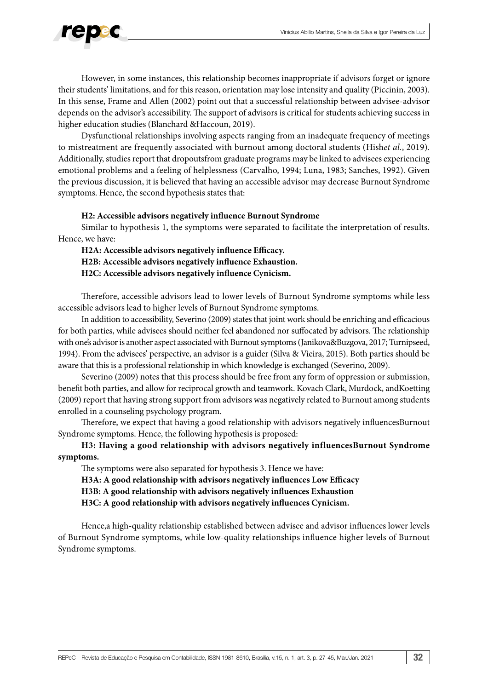

However, in some instances, this relationship becomes inappropriate if advisors forget or ignore their students' limitations, and for this reason, orientation may lose intensity and quality (Piccinin, 2003). In this sense, Frame and Allen (2002) point out that a successful relationship between advisee-advisor depends on the advisor's accessibility. The support of advisors is critical for students achieving success in higher education studies (Blanchard &Haccoun, 2019).

Dysfunctional relationships involving aspects ranging from an inadequate frequency of meetings to mistreatment are frequently associated with burnout among doctoral students (Hish*et al.*, 2019). Additionally, studies report that dropoutsfrom graduate programs may be linked to advisees experiencing emotional problems and a feeling of helplessness (Carvalho, 1994; Luna, 1983; Sanches, 1992). Given the previous discussion, it is believed that having an accessible advisor may decrease Burnout Syndrome symptoms. Hence, the second hypothesis states that:

#### **H2: Accessible advisors negatively influence Burnout Syndrome**

Similar to hypothesis 1, the symptoms were separated to facilitate the interpretation of results. Hence, we have:

**H2A: Accessible advisors negatively influence Efficacy. H2B: Accessible advisors negatively influence Exhaustion. H2C: Accessible advisors negatively influence Cynicism.**

Therefore, accessible advisors lead to lower levels of Burnout Syndrome symptoms while less accessible advisors lead to higher levels of Burnout Syndrome symptoms.

In addition to accessibility, Severino (2009) states that joint work should be enriching and efficacious for both parties, while advisees should neither feel abandoned nor suffocated by advisors. The relationship with one's advisor is another aspect associated with Burnout symptoms (Janikova&Buzgova, 2017; Turnipseed, 1994). From the advisees' perspective, an advisor is a guider (Silva & Vieira, 2015). Both parties should be aware that this is a professional relationship in which knowledge is exchanged (Severino, 2009).

Severino (2009) notes that this process should be free from any form of oppression or submission, benefit both parties, and allow for reciprocal growth and teamwork. Kovach Clark, Murdock, andKoetting (2009) report that having strong support from advisors was negatively related to Burnout among students enrolled in a counseling psychology program.

Therefore, we expect that having a good relationship with advisors negatively influencesBurnout Syndrome symptoms. Hence, the following hypothesis is proposed:

**H3: Having a good relationship with advisors negatively influencesBurnout Syndrome symptoms.**

The symptoms were also separated for hypothesis 3. Hence we have:

**H3A: A good relationship with advisors negatively influences Low Efficacy**

**H3B: A good relationship with advisors negatively influences Exhaustion**

**H3C: A good relationship with advisors negatively influences Cynicism.**

Hence,a high-quality relationship established between advisee and advisor influences lower levels of Burnout Syndrome symptoms, while low-quality relationships influence higher levels of Burnout Syndrome symptoms.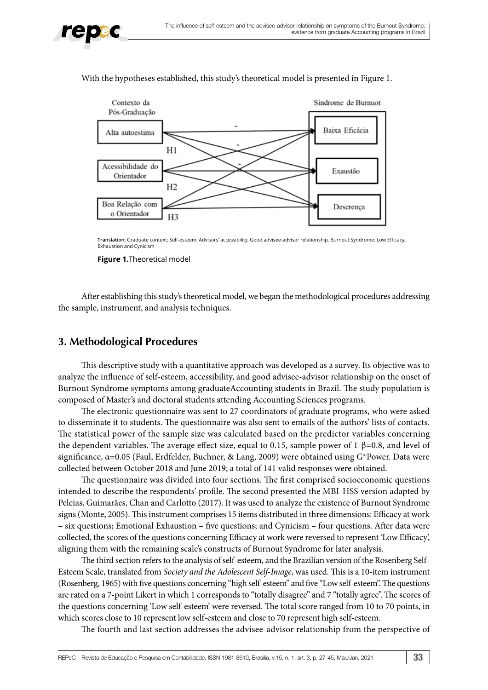



With the hypotheses established, this study's theoretical model is presented in Figure 1.

**Translation:** Graduate context: Self-esteem. Advisors' accessibility, Good advisee-advisor relationship. Burnout Syndrome: Low Efficacy, Exhaustion and Cynicism

**Figure 1.**Theoretical model

After establishing this study's theoretical model, we began the methodological procedures addressing the sample, instrument, and analysis techniques.

# **3. Methodological Procedures**

This descriptive study with a quantitative approach was developed as a survey. Its objective was to analyze the influence of self-esteem, accessibility, and good advisee-advisor relationship on the onset of Burnout Syndrome symptoms among graduateAccounting students in Brazil. The study population is composed of Master's and doctoral students attending Accounting Sciences programs.

The electronic questionnaire was sent to 27 coordinators of graduate programs, who were asked to disseminate it to students. The questionnaire was also sent to emails of the authors' lists of contacts. The statistical power of the sample size was calculated based on the predictor variables concerning the dependent variables. The average effect size, equal to 0.15, sample power of 1-β=0.8, and level of significance, α=0.05 (Faul, Erdfelder, Buchner, & Lang, 2009) were obtained using G\*Power. Data were collected between October 2018 and June 2019; a total of 141 valid responses were obtained.

The questionnaire was divided into four sections. The first comprised socioeconomic questions intended to describe the respondents' profile. The second presented the MBI-HSS version adapted by Peleias, Guimarães, Chan and Carlotto (2017). It was used to analyze the existence of Burnout Syndrome signs (Monte, 2005). This instrument comprises 15 items distributed in three dimensions: Efficacy at work – six questions; Emotional Exhaustion – five questions; and Cynicism – four questions. After data were collected, the scores of the questions concerning Efficacy at work were reversed to represent 'Low Efficacy', aligning them with the remaining scale's constructs of Burnout Syndrome for later analysis.

The third section refers to the analysis of self-esteem, and the Brazilian version of the Rosenberg Self-Esteem Scale, translated from *Society and the Adolescent Self-Image*, was used. This is a 10-item instrument (Rosenberg, 1965) with five questions concerning "high self-esteem" and five "Low self-esteem". The questions are rated on a 7-point Likert in which 1 corresponds to "totally disagree" and 7 "totally agree". The scores of the questions concerning 'Low self-esteem' were reversed. The total score ranged from 10 to 70 points, in which scores close to 10 represent low self-esteem and close to 70 represent high self-esteem.

The fourth and last section addresses the advisee-advisor relationship from the perspective of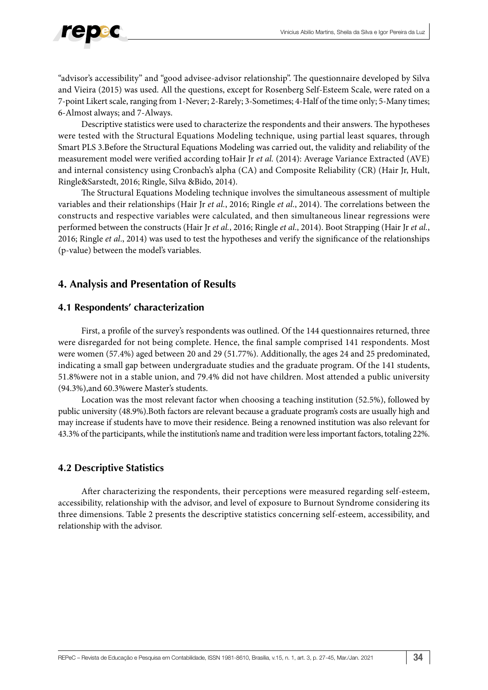

"advisor's accessibility" and "good advisee-advisor relationship". The questionnaire developed by Silva and Vieira (2015) was used. All the questions, except for Rosenberg Self-Esteem Scale, were rated on a 7-point Likert scale, ranging from 1-Never; 2-Rarely; 3-Sometimes; 4-Half of the time only; 5-Many times; 6-Almost always; and 7-Always.

Descriptive statistics were used to characterize the respondents and their answers. The hypotheses were tested with the Structural Equations Modeling technique, using partial least squares, through Smart PLS 3.Before the Structural Equations Modeling was carried out, the validity and reliability of the measurement model were verified according toHair Jr *et al.* (2014): Average Variance Extracted (AVE) and internal consistency using Cronbach's alpha (CA) and Composite Reliability (CR) (Hair Jr, Hult, Ringle&Sarstedt, 2016; Ringle, Silva &Bido, 2014).

The Structural Equations Modeling technique involves the simultaneous assessment of multiple variables and their relationships (Hair Jr *et al.*, 2016; Ringle *et al*., 2014). The correlations between the constructs and respective variables were calculated, and then simultaneous linear regressions were performed between the constructs (Hair Jr *et al.*, 2016; Ringle *et al*., 2014). Boot Strapping (Hair Jr *et al.*, 2016; Ringle *et al*., 2014) was used to test the hypotheses and verify the significance of the relationships (p-value) between the model's variables.

# **4. Analysis and Presentation of Results**

## **4.1 Respondents' characterization**

First, a profile of the survey's respondents was outlined. Of the 144 questionnaires returned, three were disregarded for not being complete. Hence, the final sample comprised 141 respondents. Most were women (57.4%) aged between 20 and 29 (51.77%). Additionally, the ages 24 and 25 predominated, indicating a small gap between undergraduate studies and the graduate program. Of the 141 students, 51.8%were not in a stable union, and 79.4% did not have children. Most attended a public university (94.3%),and 60.3%were Master's students.

Location was the most relevant factor when choosing a teaching institution (52.5%), followed by public university (48.9%).Both factors are relevant because a graduate program's costs are usually high and may increase if students have to move their residence. Being a renowned institution was also relevant for 43.3% of the participants, while the institution's name and tradition were less important factors, totaling 22%.

# **4.2 Descriptive Statistics**

After characterizing the respondents, their perceptions were measured regarding self-esteem, accessibility, relationship with the advisor, and level of exposure to Burnout Syndrome considering its three dimensions. Table 2 presents the descriptive statistics concerning self-esteem, accessibility, and relationship with the advisor.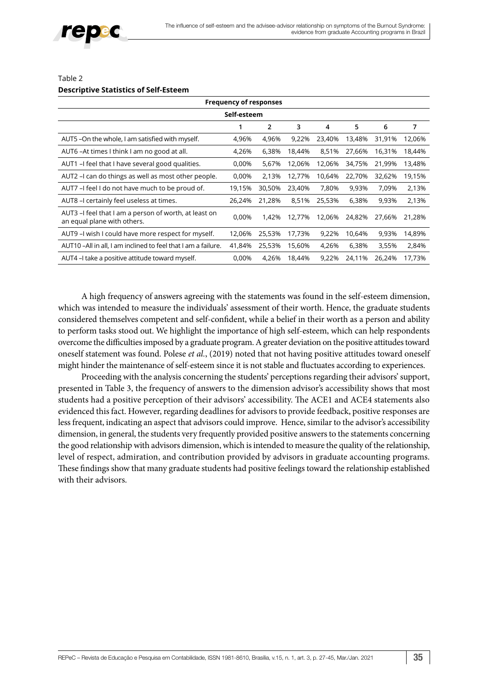

#### Table 2 **Descriptive Statistics of Self-Esteem**

| <b>Frequency of responses</b>                                                        |        |                |        |        |        |        |        |  |  |
|--------------------------------------------------------------------------------------|--------|----------------|--------|--------|--------|--------|--------|--|--|
| Self-esteem                                                                          |        |                |        |        |        |        |        |  |  |
|                                                                                      | 1      | $\overline{2}$ | 3      | 4      | 5      | 6      | 7      |  |  |
| AUT5 -On the whole, I am satisfied with myself.                                      | 4,96%  | 4,96%          | 9,22%  | 23,40% | 13,48% | 31,91% | 12,06% |  |  |
| AUT6-At times I think I am no good at all.                                           | 4,26%  | 6,38%          | 18,44% | 8,51%  | 27,66% | 16,31% | 18,44% |  |  |
| AUT1 - I feel that I have several good qualities.                                    | 0,00%  | 5,67%          | 12,06% | 12,06% | 34,75% | 21,99% | 13,48% |  |  |
| AUT2 - I can do things as well as most other people.                                 | 0,00%  | 2,13%          | 12,77% | 10,64% | 22,70% | 32,62% | 19,15% |  |  |
| AUT7 - feel I do not have much to be proud of.                                       | 19,15% | 30,50%         | 23,40% | 7,80%  | 9,93%  | 7,09%  | 2,13%  |  |  |
| AUT8 - certainly feel useless at times.                                              | 26,24% | 21,28%         | 8,51%  | 25,53% | 6,38%  | 9,93%  | 2,13%  |  |  |
| AUT3 -I feel that I am a person of worth, at least on<br>an equal plane with others. | 0,00%  | 1,42%          | 12,77% | 12,06% | 24,82% | 27,66% | 21,28% |  |  |
| AUT9 - wish I could have more respect for myself.                                    | 12,06% | 25,53%         | 17,73% | 9,22%  | 10,64% | 9,93%  | 14,89% |  |  |
| AUT10-All in all, I am inclined to feel that I am a failure.                         | 41,84% | 25,53%         | 15,60% | 4,26%  | 6,38%  | 3,55%  | 2,84%  |  |  |
| AUT4 – I take a positive attitude toward myself.                                     | 0,00%  | 4,26%          | 18,44% | 9,22%  | 24,11% | 26,24% | 17,73% |  |  |

A high frequency of answers agreeing with the statements was found in the self-esteem dimension, which was intended to measure the individuals' assessment of their worth. Hence, the graduate students considered themselves competent and self-confident, while a belief in their worth as a person and ability to perform tasks stood out. We highlight the importance of high self-esteem, which can help respondents overcome the difficulties imposed by a graduate program. A greater deviation on the positive attitudes toward oneself statement was found. Polese *et al.*, (2019) noted that not having positive attitudes toward oneself might hinder the maintenance of self-esteem since it is not stable and fluctuates according to experiences.

Proceeding with the analysis concerning the students' perceptions regarding their advisors' support, presented in Table 3, the frequency of answers to the dimension advisor's accessibility shows that most students had a positive perception of their advisors' accessibility. The ACE1 and ACE4 statements also evidenced this fact. However, regarding deadlines for advisors to provide feedback, positive responses are less frequent, indicating an aspect that advisors could improve. Hence, similar to the advisor's accessibility dimension, in general, the students very frequently provided positive answers to the statements concerning the good relationship with advisors dimension, which is intended to measure the quality of the relationship, level of respect, admiration, and contribution provided by advisors in graduate accounting programs. These findings show that many graduate students had positive feelings toward the relationship established with their advisors.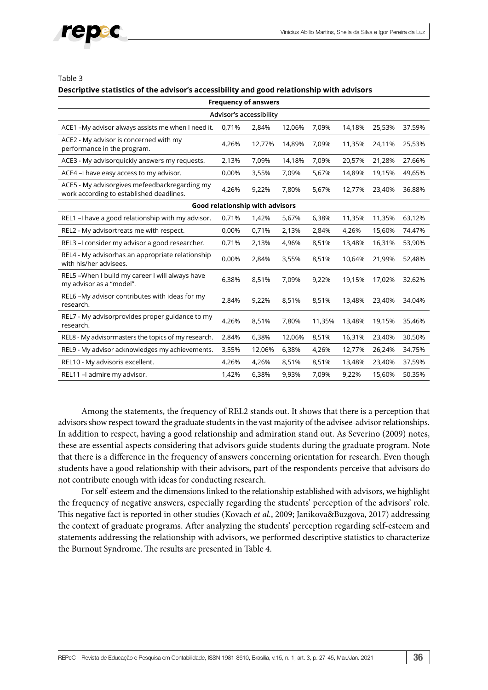

#### Table 3

#### **Descriptive statistics of the advisor's accessibility and good relationship with advisors**

| <b>Frequency of answers</b>                                                               |       |        |        |        |        |        |        |  |  |
|-------------------------------------------------------------------------------------------|-------|--------|--------|--------|--------|--------|--------|--|--|
| Advisor's accessibility                                                                   |       |        |        |        |        |        |        |  |  |
| ACE1 -My advisor always assists me when I need it.                                        | 0,71% | 2,84%  | 12,06% | 7,09%  | 14,18% | 25,53% | 37,59% |  |  |
| ACE2 - My advisor is concerned with my<br>performance in the program.                     | 4,26% | 12,77% | 14,89% | 7,09%  | 11,35% | 24,11% | 25,53% |  |  |
| ACE3 - My advisorquickly answers my requests.                                             | 2,13% | 7,09%  | 14,18% | 7,09%  | 20,57% | 21,28% | 27,66% |  |  |
| ACE4 - I have easy access to my advisor.                                                  | 0,00% | 3,55%  | 7,09%  | 5,67%  | 14,89% | 19,15% | 49,65% |  |  |
| ACE5 - My advisorgives mefeedbackregarding my<br>work according to established deadlines. | 4,26% | 9,22%  | 7,80%  | 5,67%  | 12,77% | 23,40% | 36,88% |  |  |
| Good relationship with advisors                                                           |       |        |        |        |        |        |        |  |  |
| REL1 - I have a good relationship with my advisor.                                        | 0,71% | 1,42%  | 5,67%  | 6,38%  | 11,35% | 11,35% | 63,12% |  |  |
| REL2 - My advisortreats me with respect.                                                  | 0,00% | 0,71%  | 2,13%  | 2,84%  | 4,26%  | 15,60% | 74,47% |  |  |
| REL3 - I consider my advisor a good researcher.                                           | 0,71% | 2,13%  | 4,96%  | 8,51%  | 13,48% | 16,31% | 53,90% |  |  |
| REL4 - My advisorhas an appropriate relationship<br>with his/her advisees.                | 0,00% | 2,84%  | 3,55%  | 8,51%  | 10,64% | 21,99% | 52,48% |  |  |
| REL5-When I build my career I will always have<br>my advisor as a "model".                | 6,38% | 8,51%  | 7,09%  | 9,22%  | 19,15% | 17,02% | 32,62% |  |  |
| REL6 -My advisor contributes with ideas for my<br>research.                               | 2,84% | 9,22%  | 8,51%  | 8,51%  | 13,48% | 23,40% | 34,04% |  |  |
| REL7 - My advisorprovides proper guidance to my<br>research.                              | 4,26% | 8,51%  | 7,80%  | 11,35% | 13,48% | 19,15% | 35,46% |  |  |
| REL8 - My advisormasters the topics of my research.                                       | 2,84% | 6,38%  | 12,06% | 8,51%  | 16,31% | 23,40% | 30,50% |  |  |
| REL9 - My advisor acknowledges my achievements.                                           | 3,55% | 12,06% | 6,38%  | 4,26%  | 12,77% | 26,24% | 34,75% |  |  |
| REL10 - My advisoris excellent.                                                           | 4,26% | 4,26%  | 8,51%  | 8,51%  | 13,48% | 23,40% | 37,59% |  |  |
| REL11 - admire my advisor.                                                                | 1,42% | 6,38%  | 9,93%  | 7,09%  | 9,22%  | 15,60% | 50,35% |  |  |

Among the statements, the frequency of REL2 stands out. It shows that there is a perception that advisors show respect toward the graduate students in the vast majority of the advisee-advisor relationships. In addition to respect, having a good relationship and admiration stand out. As Severino (2009) notes, these are essential aspects considering that advisors guide students during the graduate program. Note that there is a difference in the frequency of answers concerning orientation for research. Even though students have a good relationship with their advisors, part of the respondents perceive that advisors do not contribute enough with ideas for conducting research.

For self-esteem and the dimensions linked to the relationship established with advisors, we highlight the frequency of negative answers, especially regarding the students' perception of the advisors' role. This negative fact is reported in other studies (Kovach *et al.*, 2009; Janikova&Buzgova, 2017) addressing the context of graduate programs. After analyzing the students' perception regarding self-esteem and statements addressing the relationship with advisors, we performed descriptive statistics to characterize the Burnout Syndrome. The results are presented in Table 4.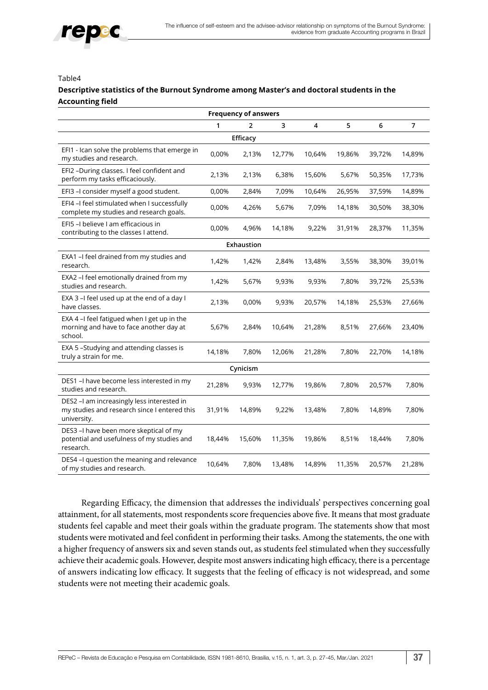

#### Table4

#### **Descriptive statistics of the Burnout Syndrome among Master's and doctoral students in the Accounting field**

| <b>Frequency of answers</b>                                                                               |          |            |        |        |        |        |                |  |  |  |
|-----------------------------------------------------------------------------------------------------------|----------|------------|--------|--------|--------|--------|----------------|--|--|--|
|                                                                                                           | 1        | 2          | 3      | 4      | 5      | 6      | $\overline{7}$ |  |  |  |
|                                                                                                           | Efficacy |            |        |        |        |        |                |  |  |  |
| EFI1 - Ican solve the problems that emerge in<br>my studies and research.                                 | 0,00%    | 2,13%      | 12,77% | 10,64% | 19,86% | 39,72% | 14,89%         |  |  |  |
| EFI2 -During classes. I feel confident and<br>perform my tasks efficaciously.                             | 2,13%    | 2,13%      | 6,38%  | 15,60% | 5,67%  | 50,35% | 17,73%         |  |  |  |
| EFI3 -I consider myself a good student.                                                                   | 0,00%    | 2,84%      | 7,09%  | 10,64% | 26,95% | 37,59% | 14,89%         |  |  |  |
| EFI4 -I feel stimulated when I successfully<br>complete my studies and research goals.                    | 0,00%    | 4,26%      | 5,67%  | 7,09%  | 14,18% | 30,50% | 38,30%         |  |  |  |
| EFI5 - I believe I am efficacious in<br>contributing to the classes I attend.                             | 0,00%    | 4,96%      | 14,18% | 9,22%  | 31,91% | 28,37% | 11,35%         |  |  |  |
|                                                                                                           |          | Exhaustion |        |        |        |        |                |  |  |  |
| EXA1 -I feel drained from my studies and<br>research.                                                     | 1,42%    | 1,42%      | 2,84%  | 13,48% | 3,55%  | 38,30% | 39,01%         |  |  |  |
| EXA2 -I feel emotionally drained from my<br>studies and research.                                         | 1,42%    | 5,67%      | 9,93%  | 9,93%  | 7,80%  | 39,72% | 25,53%         |  |  |  |
| EXA 3 - I feel used up at the end of a day I<br>have classes.                                             | 2,13%    | 0,00%      | 9,93%  | 20,57% | 14,18% | 25,53% | 27,66%         |  |  |  |
| EXA 4 -I feel fatigued when I get up in the<br>morning and have to face another day at<br>school.         | 5,67%    | 2,84%      | 10,64% | 21,28% | 8,51%  | 27,66% | 23,40%         |  |  |  |
| EXA 5-Studying and attending classes is<br>truly a strain for me.                                         | 14,18%   | 7,80%      | 12,06% | 21,28% | 7,80%  | 22,70% | 14,18%         |  |  |  |
|                                                                                                           |          | Cynicism   |        |        |        |        |                |  |  |  |
| DES1-I have become less interested in my<br>studies and research.                                         | 21,28%   | 9,93%      | 12,77% | 19,86% | 7,80%  | 20,57% | 7,80%          |  |  |  |
| DES2 -I am increasingly less interested in<br>my studies and research since I entered this<br>university. | 31,91%   | 14,89%     | 9,22%  | 13,48% | 7,80%  | 14,89% | 7,80%          |  |  |  |
| DES3 -I have been more skeptical of my<br>potential and usefulness of my studies and<br>research.         | 18,44%   | 15,60%     | 11,35% | 19,86% | 8,51%  | 18,44% | 7,80%          |  |  |  |
| DES4 -I question the meaning and relevance<br>of my studies and research.                                 | 10,64%   | 7,80%      | 13,48% | 14,89% | 11,35% | 20,57% | 21,28%         |  |  |  |

Regarding Efficacy, the dimension that addresses the individuals' perspectives concerning goal attainment, for all statements, most respondents score frequencies above five. It means that most graduate students feel capable and meet their goals within the graduate program. The statements show that most students were motivated and feel confident in performing their tasks. Among the statements, the one with a higher frequency of answers six and seven stands out, as students feel stimulated when they successfully achieve their academic goals. However, despite most answers indicating high efficacy, there is a percentage of answers indicating low efficacy. It suggests that the feeling of efficacy is not widespread, and some students were not meeting their academic goals.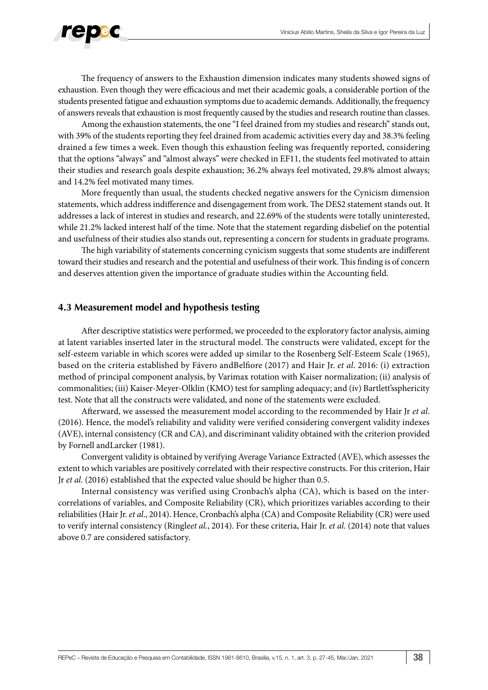

The frequency of answers to the Exhaustion dimension indicates many students showed signs of exhaustion. Even though they were efficacious and met their academic goals, a considerable portion of the students presented fatigue and exhaustion symptoms due to academic demands. Additionally, the frequency of answers reveals that exhaustion is most frequently caused by the studies and research routine than classes.

Among the exhaustion statements, the one "I feel drained from my studies and research" stands out, with 39% of the students reporting they feel drained from academic activities every day and 38.3% feeling drained a few times a week. Even though this exhaustion feeling was frequently reported, considering that the options "always" and "almost always" were checked in EF11, the students feel motivated to attain their studies and research goals despite exhaustion; 36.2% always feel motivated, 29.8% almost always; and 14.2% feel motivated many times.

More frequently than usual, the students checked negative answers for the Cynicism dimension statements, which address indifference and disengagement from work. The DES2 statement stands out. It addresses a lack of interest in studies and research, and 22.69% of the students were totally uninterested, while 21.2% lacked interest half of the time. Note that the statement regarding disbelief on the potential and usefulness of their studies also stands out, representing a concern for students in graduate programs.

The high variability of statements concerning cynicism suggests that some students are indifferent toward their studies and research and the potential and usefulness of their work. This finding is of concern and deserves attention given the importance of graduate studies within the Accounting field.

#### **4.3 Measurement model and hypothesis testing**

After descriptive statistics were performed, we proceeded to the exploratory factor analysis, aiming at latent variables inserted later in the structural model. The constructs were validated, except for the self-esteem variable in which scores were added up similar to the Rosenberg Self-Esteem Scale (1965), based on the criteria established by Fávero andBelfiore (2017) and Hair Jr. *et al*. 2016: (i) extraction method of principal component analysis, by Varimax rotation with Kaiser normalization; (ii) analysis of commonalities; (iii) Kaiser-Meyer-Olklin (KMO) test for sampling adequacy; and (iv) Bartlett'ssphericity test. Note that all the constructs were validated, and none of the statements were excluded.

Afterward, we assessed the measurement model according to the recommended by Hair Jr *et al*. (2016). Hence, the model's reliability and validity were verified considering convergent validity indexes (AVE), internal consistency (CR and CA), and discriminant validity obtained with the criterion provided by Fornell andLarcker (1981).

Convergent validity is obtained by verifying Average Variance Extracted (AVE), which assesses the extent to which variables are positively correlated with their respective constructs. For this criterion, Hair Jr *et al*. (2016) established that the expected value should be higher than 0.5.

Internal consistency was verified using Cronbach's alpha (CA), which is based on the intercorrelations of variables, and Composite Reliability (CR), which prioritizes variables according to their reliabilities (Hair Jr. *et al*., 2014). Hence, Cronbach's alpha (CA) and Composite Reliability (CR) were used to verify internal consistency (Ringle*et al.*, 2014). For these criteria, Hair Jr. *et al*. (2014) note that values above 0.7 are considered satisfactory.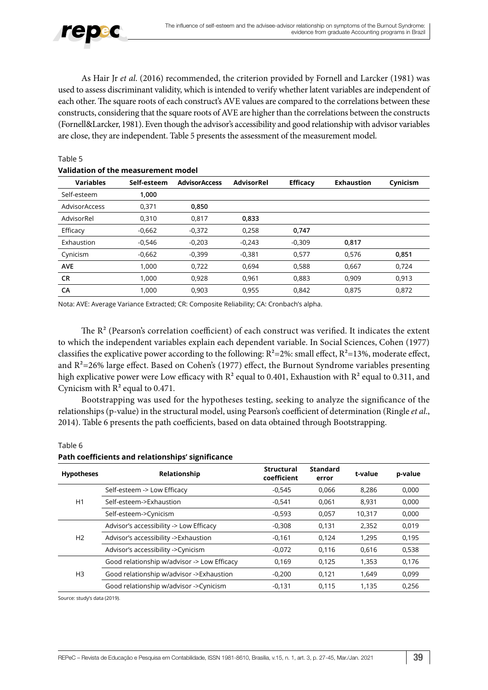

Table 5

As Hair Jr *et al*. (2016) recommended, the criterion provided by Fornell and Larcker (1981) was used to assess discriminant validity, which is intended to verify whether latent variables are independent of each other. The square roots of each construct's AVE values are compared to the correlations between these constructs, considering that the square roots of AVE are higher than the correlations between the constructs (Fornell&Larcker, 1981). Even though the advisor's accessibility and good relationship with advisor variables are close, they are independent. Table 5 presents the assessment of the measurement model.

| Validation of the measurement model |             |                      |                   |                 |                   |          |  |  |  |
|-------------------------------------|-------------|----------------------|-------------------|-----------------|-------------------|----------|--|--|--|
| <b>Variables</b>                    | Self-esteem | <b>AdvisorAccess</b> | <b>AdvisorRel</b> | <b>Efficacy</b> | <b>Exhaustion</b> | Cynicism |  |  |  |
| Self-esteem                         | 1,000       |                      |                   |                 |                   |          |  |  |  |
| AdvisorAccess                       | 0,371       | 0,850                |                   |                 |                   |          |  |  |  |
| AdvisorRel                          | 0,310       | 0,817                | 0,833             |                 |                   |          |  |  |  |
| Efficacy                            | $-0,662$    | $-0,372$             | 0,258             | 0,747           |                   |          |  |  |  |
| Exhaustion                          | $-0,546$    | $-0,203$             | $-0.243$          | $-0.309$        | 0,817             |          |  |  |  |
| Cynicism                            | $-0,662$    | $-0,399$             | $-0,381$          | 0,577           | 0,576             | 0,851    |  |  |  |
| <b>AVE</b>                          | 1.000       | 0,722                | 0,694             | 0,588           | 0,667             | 0,724    |  |  |  |
| <b>CR</b>                           | 1,000       | 0,928                | 0,961             | 0,883           | 0,909             | 0,913    |  |  |  |
| CA                                  | 1,000       | 0,903                | 0,955             | 0,842           | 0,875             | 0,872    |  |  |  |

Nota: AVE: Average Variance Extracted; CR: Composite Reliability; CA: Cronbach's alpha.

The  $R^2$  (Pearson's correlation coefficient) of each construct was verified. It indicates the extent to which the independent variables explain each dependent variable. In Social Sciences, Cohen (1977) classifies the explicative power according to the following:  $R^2 = 2\%$ : small effect,  $R^2 = 13\%$ , moderate effect, and  $R^2$ =26% large effect. Based on Cohen's (1977) effect, the Burnout Syndrome variables presenting high explicative power were Low efficacy with  $R^2$  equal to 0.401, Exhaustion with  $R^2$  equal to 0.311, and Cynicism with  $R^2$  equal to 0.471.

Bootstrapping was used for the hypotheses testing, seeking to analyze the significance of the relationships (p-value) in the structural model, using Pearson's coefficient of determination (Ringle *et al*., 2014). Table 6 presents the path coefficients, based on data obtained through Bootstrapping.

| <b>Hypotheses</b> | Relationship                                | <b>Structural</b><br>coefficient | <b>Standard</b><br>error | t-value | p-value |
|-------------------|---------------------------------------------|----------------------------------|--------------------------|---------|---------|
|                   | Self-esteem -> Low Efficacy                 | $-0.545$                         | 0,066                    | 8.286   | 0,000   |
| H1                | Self-esteem->Exhaustion                     | $-0.541$                         | 0.061                    | 8,931   | 0,000   |
|                   | Self-esteem->Cynicism                       | $-0,593$                         | 0.057                    | 10.317  | 0,000   |
| H <sub>2</sub>    | Advisor's accessibility -> Low Efficacy     | $-0,308$                         | 0,131                    | 2,352   | 0,019   |
|                   | Advisor's accessibility ->Exhaustion        | $-0,161$                         | 0.124                    | 1.295   | 0,195   |
|                   | Advisor's accessibility -> Cynicism         | $-0.072$                         | 0.116                    | 0.616   | 0,538   |
| H3                | Good relationship w/advisor -> Low Efficacy | 0,169                            | 0,125                    | 1,353   | 0,176   |
|                   | Good relationship w/advisor ->Exhaustion    | $-0,200$                         | 0.121                    | 1.649   | 0,099   |
|                   | Good relationship w/advisor ->Cynicism      | $-0.131$                         | 0.115                    | 1.135   | 0.256   |

#### **Path coefficients and relationships' significance**

Source: study's data (2019).

Table 6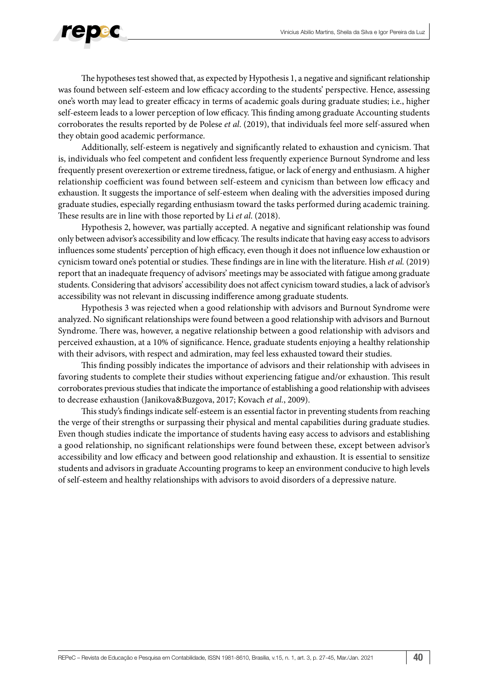

The hypotheses test showed that, as expected by Hypothesis 1, a negative and significant relationship was found between self-esteem and low efficacy according to the students' perspective. Hence, assessing one's worth may lead to greater efficacy in terms of academic goals during graduate studies; i.e., higher self-esteem leads to a lower perception of low efficacy. This finding among graduate Accounting students corroborates the results reported by de Polese *et al*. (2019), that individuals feel more self-assured when they obtain good academic performance.

Additionally, self-esteem is negatively and significantly related to exhaustion and cynicism. That is, individuals who feel competent and confident less frequently experience Burnout Syndrome and less frequently present overexertion or extreme tiredness, fatigue, or lack of energy and enthusiasm. A higher relationship coefficient was found between self-esteem and cynicism than between low efficacy and exhaustion. It suggests the importance of self-esteem when dealing with the adversities imposed during graduate studies, especially regarding enthusiasm toward the tasks performed during academic training. These results are in line with those reported by Li *et al*. (2018).

Hypothesis 2, however, was partially accepted. A negative and significant relationship was found only between advisor's accessibility and low efficacy. The results indicate that having easy access to advisors influences some students' perception of high efficacy, even though it does not influence low exhaustion or cynicism toward one's potential or studies. These findings are in line with the literature. Hish *et al.* (2019) report that an inadequate frequency of advisors' meetings may be associated with fatigue among graduate students. Considering that advisors' accessibility does not affect cynicism toward studies, a lack of advisor's accessibility was not relevant in discussing indifference among graduate students.

Hypothesis 3 was rejected when a good relationship with advisors and Burnout Syndrome were analyzed. No significant relationships were found between a good relationship with advisors and Burnout Syndrome. There was, however, a negative relationship between a good relationship with advisors and perceived exhaustion, at a 10% of significance. Hence, graduate students enjoying a healthy relationship with their advisors, with respect and admiration, may feel less exhausted toward their studies.

This finding possibly indicates the importance of advisors and their relationship with advisees in favoring students to complete their studies without experiencing fatigue and/or exhaustion. This result corroborates previous studies that indicate the importance of establishing a good relationship with advisees to decrease exhaustion (Janikova&Buzgova, 2017; Kovach *et al.*, 2009).

This study's findings indicate self-esteem is an essential factor in preventing students from reaching the verge of their strengths or surpassing their physical and mental capabilities during graduate studies. Even though studies indicate the importance of students having easy access to advisors and establishing a good relationship, no significant relationships were found between these, except between advisor's accessibility and low efficacy and between good relationship and exhaustion. It is essential to sensitize students and advisors in graduate Accounting programs to keep an environment conducive to high levels of self-esteem and healthy relationships with advisors to avoid disorders of a depressive nature.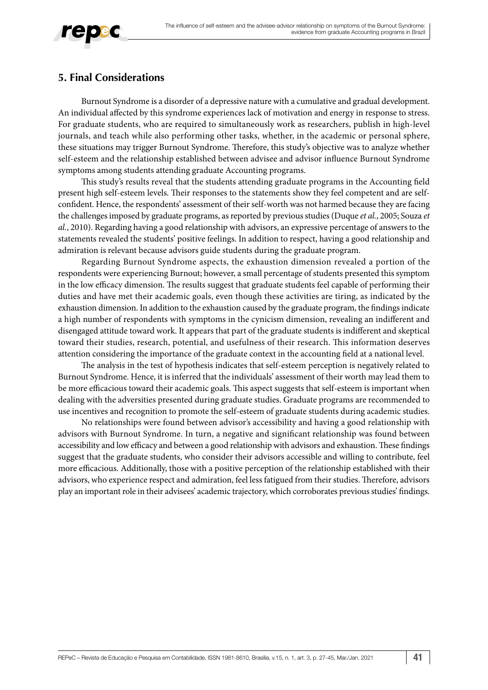

# **5. Final Considerations**

Burnout Syndrome is a disorder of a depressive nature with a cumulative and gradual development. An individual affected by this syndrome experiences lack of motivation and energy in response to stress. For graduate students, who are required to simultaneously work as researchers, publish in high-level journals, and teach while also performing other tasks, whether, in the academic or personal sphere, these situations may trigger Burnout Syndrome. Therefore, this study's objective was to analyze whether self-esteem and the relationship established between advisee and advisor influence Burnout Syndrome symptoms among students attending graduate Accounting programs.

This study's results reveal that the students attending graduate programs in the Accounting field present high self-esteem levels. Their responses to the statements show they feel competent and are selfconfident. Hence, the respondents' assessment of their self-worth was not harmed because they are facing the challenges imposed by graduate programs, as reported by previous studies (Duque *et al.*, 2005; Souza *et al.*, 2010). Regarding having a good relationship with advisors, an expressive percentage of answers to the statements revealed the students' positive feelings. In addition to respect, having a good relationship and admiration is relevant because advisors guide students during the graduate program.

Regarding Burnout Syndrome aspects, the exhaustion dimension revealed a portion of the respondents were experiencing Burnout; however, a small percentage of students presented this symptom in the low efficacy dimension. The results suggest that graduate students feel capable of performing their duties and have met their academic goals, even though these activities are tiring, as indicated by the exhaustion dimension. In addition to the exhaustion caused by the graduate program, the findings indicate a high number of respondents with symptoms in the cynicism dimension, revealing an indifferent and disengaged attitude toward work. It appears that part of the graduate students is indifferent and skeptical toward their studies, research, potential, and usefulness of their research. This information deserves attention considering the importance of the graduate context in the accounting field at a national level.

The analysis in the test of hypothesis indicates that self-esteem perception is negatively related to Burnout Syndrome. Hence, it is inferred that the individuals' assessment of their worth may lead them to be more efficacious toward their academic goals. This aspect suggests that self-esteem is important when dealing with the adversities presented during graduate studies. Graduate programs are recommended to use incentives and recognition to promote the self-esteem of graduate students during academic studies.

No relationships were found between advisor's accessibility and having a good relationship with advisors with Burnout Syndrome. In turn, a negative and significant relationship was found between accessibility and low efficacy and between a good relationship with advisors and exhaustion. These findings suggest that the graduate students, who consider their advisors accessible and willing to contribute, feel more efficacious. Additionally, those with a positive perception of the relationship established with their advisors, who experience respect and admiration, feel less fatigued from their studies. Therefore, advisors play an important role in their advisees' academic trajectory, which corroborates previous studies' findings.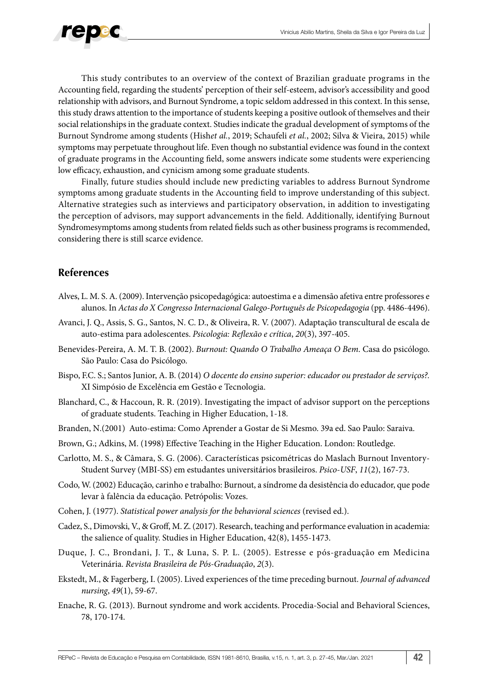

This study contributes to an overview of the context of Brazilian graduate programs in the Accounting field, regarding the students' perception of their self-esteem, advisor's accessibility and good relationship with advisors, and Burnout Syndrome, a topic seldom addressed in this context. In this sense, this study draws attention to the importance of students keeping a positive outlook of themselves and their social relationships in the graduate context. Studies indicate the gradual development of symptoms of the Burnout Syndrome among students (Hish*et al.*, 2019; Schaufeli *et al.*, 2002; Silva & Vieira, 2015) while symptoms may perpetuate throughout life. Even though no substantial evidence was found in the context of graduate programs in the Accounting field, some answers indicate some students were experiencing low efficacy, exhaustion, and cynicism among some graduate students.

Finally, future studies should include new predicting variables to address Burnout Syndrome symptoms among graduate students in the Accounting field to improve understanding of this subject. Alternative strategies such as interviews and participatory observation, in addition to investigating the perception of advisors, may support advancements in the field. Additionally, identifying Burnout Syndromesymptoms among students from related fields such as other business programs is recommended, considering there is still scarce evidence.

# **References**

- Alves, L. M. S. A. (2009). Intervenção psicopedagógica: autoestima e a dimensão afetiva entre professores e alunos. In *Actas do X Congresso Internacional Galego-Português de Psicopedagogia* (pp. 4486-4496).
- Avanci, J. Q., Assis, S. G., Santos, N. C. D., & Oliveira, R. V. (2007). Adaptação transcultural de escala de auto-estima para adolescentes. *Psicologia: Reflexão e crítica*, *20*(3), 397-405.
- Benevides-Pereira, A. M. T. B. (2002). *Burnout: Quando O Trabalho Ameaça O Bem*. Casa do psicólogo. São Paulo: Casa do Psicólogo.
- Bispo, F.C. S.; Santos Junior, A. B. (2014) *O docente do ensino superior: educador ou prestador de serviços?.* XI Simpósio de Excelência em Gestão e Tecnologia.
- Blanchard, C., & Haccoun, R. R. (2019). Investigating the impact of advisor support on the perceptions of graduate students. Teaching in Higher Education, 1-18.
- Branden, N.(2001) Auto-estima: Como Aprender a Gostar de Si Mesmo. 39a ed. Sao Paulo: Saraiva.
- Brown, G.; Adkins, M. (1998) Effective Teaching in the Higher Education. London: Routledge.
- Carlotto, M. S., & Câmara, S. G. (2006). Características psicométricas do Maslach Burnout Inventory-Student Survey (MBI-SS) em estudantes universitários brasileiros. *Psico-USF*, *11*(2), 167-73.
- Codo, W. (2002) Educação, carinho e trabalho: Burnout, a síndrome da desistência do educador, que pode levar à falência da educação. Petrópolis: Vozes.
- Cohen, J. (1977). *Statistical power analysis for the behavioral sciences* (revised ed.).
- Cadez, S., Dimovski, V., & Groff, M. Z. (2017). Research, teaching and performance evaluation in academia: the salience of quality. Studies in Higher Education, 42(8), 1455-1473.
- Duque, J. C., Brondani, J. T., & Luna, S. P. L. (2005). Estresse e pós-graduação em Medicina Veterinária. *Revista Brasileira de Pós-Graduação*, *2*(3).
- Ekstedt, M., & Fagerberg, I. (2005). Lived experiences of the time preceding burnout. *Journal of advanced nursing*, *49*(1), 59-67.
- Enache, R. G. (2013). Burnout syndrome and work accidents. Procedia-Social and Behavioral Sciences, 78, 170-174.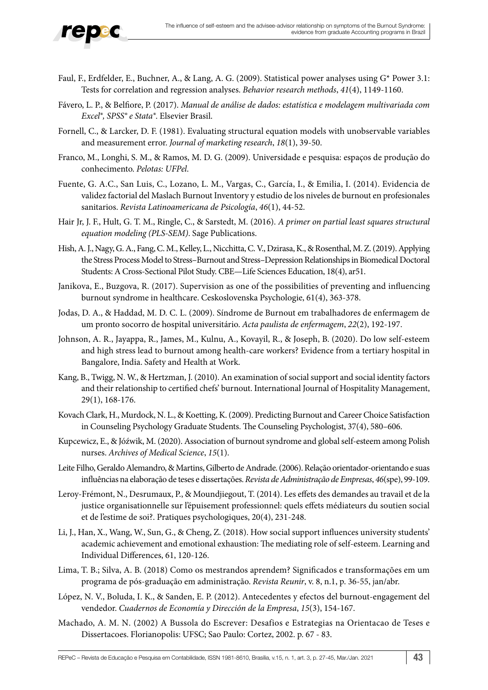

- Faul, F., Erdfelder, E., Buchner, A., & Lang, A. G. (2009). Statistical power analyses using G\* Power 3.1: Tests for correlation and regression analyses. *Behavior research methods*, *41*(4), 1149-1160.
- Fávero, L. P., & Belfiore, P. (2017). *Manual de análise de dados: estatística e modelagem multivariada com Excel®, SPSS® e Stata®*. Elsevier Brasil.
- Fornell, C., & Larcker, D. F. (1981). Evaluating structural equation models with unobservable variables and measurement error. *Journal of marketing research*, *18*(1), 39-50.
- Franco, M., Longhi, S. M., & Ramos, M. D. G. (2009). Universidade e pesquisa: espaços de produção do conhecimento. *Pelotas: UFPel*.
- Fuente, G. A.C., San Luis, C., Lozano, L. M., Vargas, C., García, I., & Emilia, I. (2014). Evidencia de validez factorial del Maslach Burnout Inventory y estudio de los niveles de burnout en profesionales sanitarios. *Revista Latinoamericana de Psicología*, *46*(1), 44-52.
- Hair Jr, J. F., Hult, G. T. M., Ringle, C., & Sarstedt, M. (2016). *A primer on partial least squares structural equation modeling (PLS-SEM)*. Sage Publications.
- Hish, A. J., Nagy, G. A., Fang, C. M., Kelley, L., Nicchitta, C. V., Dzirasa, K., & Rosenthal, M. Z. (2019). Applying the Stress Process Model to Stress–Burnout and Stress–Depression Relationships in Biomedical Doctoral Students: A Cross-Sectional Pilot Study. CBE—Life Sciences Education, 18(4), ar51.
- Janikova, E., Buzgova, R. (2017). Supervision as one of the possibilities of preventing and influencing burnout syndrome in healthcare. Ceskoslovenska Psychologie, 61(4), 363-378.
- Jodas, D. A., & Haddad, M. D. C. L. (2009). Síndrome de Burnout em trabalhadores de enfermagem de um pronto socorro de hospital universitário. *Acta paulista de enfermagem*, *22*(2), 192-197.
- Johnson, A. R., Jayappa, R., James, M., Kulnu, A., Kovayil, R., & Joseph, B. (2020). Do low self-esteem and high stress lead to burnout among health-care workers? Evidence from a tertiary hospital in Bangalore, India. Safety and Health at Work.
- Kang, B., Twigg, N. W., & Hertzman, J. (2010). An examination of social support and social identity factors and their relationship to certified chefs' burnout. International Journal of Hospitality Management, 29(1), 168-176.
- Kovach Clark, H., Murdock, N. L., & Koetting, K. (2009). Predicting Burnout and Career Choice Satisfaction in Counseling Psychology Graduate Students. The Counseling Psychologist, 37(4), 580–606.
- Kupcewicz, E., & Jóźwik, M. (2020). Association of burnout syndrome and global self-esteem among Polish nurses. *Archives of Medical Science*, *15*(1).
- Leite Filho, Geraldo Alemandro, & Martins, Gilberto de Andrade. (2006). Relação orientador-orientando e suas influências na elaboração de teses e dissertações. *Revista de Administração de Empresas*, *46*(spe), 99-109.
- Leroy-Frémont, N., Desrumaux, P., & Moundjiegout, T. (2014). Les effets des demandes au travail et de la justice organisationnelle sur l'épuisement professionnel: quels effets médiateurs du soutien social et de l'estime de soi?. Pratiques psychologiques, 20(4), 231-248.
- Li, J., Han, X., Wang, W., Sun, G., & Cheng, Z. (2018). How social support influences university students' academic achievement and emotional exhaustion: The mediating role of self-esteem. Learning and Individual Differences, 61, 120-126.
- Lima, T. B.; Silva, A. B. (2018) Como os mestrandos aprendem? Significados e transformações em um programa de pós-graduação em administração. *Revista Reunir*, v. 8, n.1, p. 36-55, jan/abr.
- López, N. V., Boluda, I. K., & Sanden, E. P. (2012). Antecedentes y efectos del burnout-engagement del vendedor. *Cuadernos de Economía y Dirección de la Empresa*, *15*(3), 154-167.
- Machado, A. M. N. (2002) A Bussola do Escrever: Desafios e Estrategias na Orientacao de Teses e Dissertacoes. Florianopolis: UFSC; Sao Paulo: Cortez, 2002. p. 67 - 83.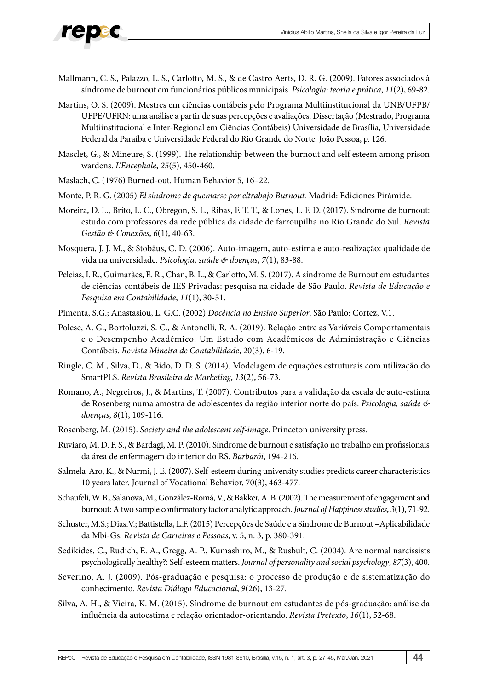

- Mallmann, C. S., Palazzo, L. S., Carlotto, M. S., & de Castro Aerts, D. R. G. (2009). Fatores associados à síndrome de burnout em funcionários públicos municipais. *Psicologia: teoria e prática*, *11*(2), 69-82.
- Martins, O. S. (2009). Mestres em ciências contábeis pelo Programa Multiinstitucional da UNB/UFPB/ UFPE/UFRN: uma análise a partir de suas percepções e avaliações. Dissertação (Mestrado, Programa Multiinstitucional e Inter-Regional em Ciências Contábeis) Universidade de Brasília, Universidade Federal da Paraíba e Universidade Federal do Rio Grande do Norte. João Pessoa, p. 126.
- Masclet, G., & Mineure, S. (1999). The relationship between the burnout and self esteem among prison wardens. *L'Encephale*, *25*(5), 450-460.
- Maslach, C. (1976) Burned-out. Human Behavior 5, 16–22.
- Monte, P. R. G. (2005) *El síndrome de quemarse por eltrabajo Burnout.* Madrid: Ediciones Pirámide.
- Moreira, D. L., Brito, L. C., Obregon, S. L., Ribas, F. T. T., & Lopes, L. F. D. (2017). Síndrome de burnout: estudo com professores da rede pública da cidade de farroupilha no Rio Grande do Sul. *Revista Gestão & Conexões*, *6*(1), 40-63.
- Mosquera, J. J. M., & Stobäus, C. D. (2006). Auto-imagem, auto-estima e auto-realização: qualidade de vida na universidade. *Psicologia, saúde & doenças*, *7*(1), 83-88.
- Peleias, I. R., Guimarães, E. R., Chan, B. L., & Carlotto, M. S. (2017). A síndrome de Burnout em estudantes de ciências contábeis de IES Privadas: pesquisa na cidade de São Paulo. *Revista de Educação e Pesquisa em Contabilidade*, *11*(1), 30-51.
- Pimenta, S.G.; Anastasiou, L. G.C. (2002) *Docência no Ensino Superior*. São Paulo: Cortez, V.1.
- Polese, A. G., Bortoluzzi, S. C., & Antonelli, R. A. (2019). Relação entre as Variáveis Comportamentais e o Desempenho Acadêmico: Um Estudo com Acadêmicos de Administração e Ciências Contábeis. *Revista Mineira de Contabilidade*, 20(3), 6-19.
- Ringle, C. M., Silva, D., & Bido, D. D. S. (2014). Modelagem de equações estruturais com utilização do SmartPLS. *Revista Brasileira de Marketing*, *13*(2), 56-73.
- Romano, A., Negreiros, J., & Martins, T. (2007). Contributos para a validação da escala de auto-estima de Rosenberg numa amostra de adolescentes da região interior norte do país. *Psicologia, saúde & doenças*, *8*(1), 109-116.
- Rosenberg, M. (2015). *Society and the adolescent self-image*. Princeton university press.
- Ruviaro, M. D. F. S., & Bardagi, M. P. (2010). Síndrome de burnout e satisfação no trabalho em profissionais da área de enfermagem do interior do RS. *Barbarói*, 194-216.
- Salmela-Aro, K., & Nurmi, J. E. (2007). Self-esteem during university studies predicts career characteristics 10 years later. Journal of Vocational Behavior, 70(3), 463-477.
- Schaufeli, W. B., Salanova, M., González-Romá, V., & Bakker, A. B. (2002). The measurement of engagement and burnout: A two sample confirmatory factor analytic approach. *Journal of Happiness studies*, *3*(1), 71-92.
- Schuster, M.S.; Dias.V.; Battistella, L.F. (2015) Percepções de Saúde e a Síndrome de Burnout –Aplicabilidade da Mbi-Gs. *Revista de Carreiras e Pessoas*, v. 5, n. 3, p. 380-391.
- Sedikides, C., Rudich, E. A., Gregg, A. P., Kumashiro, M., & Rusbult, C. (2004). Are normal narcissists psychologically healthy?: Self-esteem matters. *Journal of personality and social psychology*, *87*(3), 400.
- Severino, A. J. (2009). Pós-graduação e pesquisa: o processo de produção e de sistematização do conhecimento. *Revista Diálogo Educacional*, *9*(26), 13-27.
- Silva, A. H., & Vieira, K. M. (2015). Síndrome de burnout em estudantes de pós-graduação: análise da influência da autoestima e relação orientador-orientando. *Revista Pretexto*, *16*(1), 52-68.